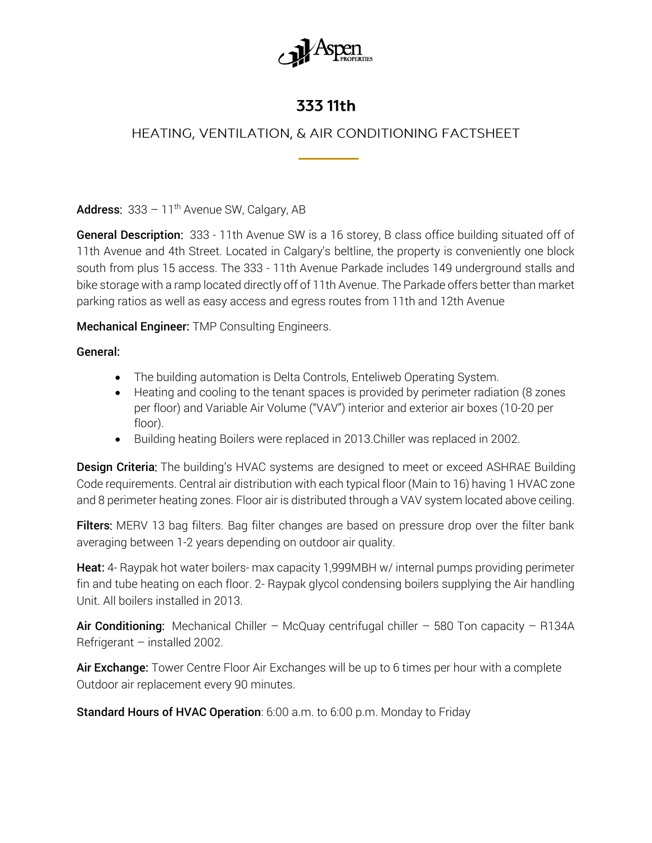

## 333 11th

## HEATING, VENTILATION, & AIR CONDITIONING FACTSHEET

Address:  $333 - 11$ <sup>th</sup> Avenue SW, Calgary, AB

General Description: 333 - 11th Avenue SW is a 16 storey, B class office building situated off of 11th Avenue and 4th Street. Located in Calgary's beltline, the property is conveniently one block south from plus 15 access. The 333 - 11th Avenue Parkade includes 149 underground stalls and bike storage with a ramp located directly off of 11th Avenue. The Parkade offers better than market parking ratios as well as easy access and egress routes from 11th and 12th Avenue

Mechanical Engineer: TMP Consulting Engineers.

General:

- The building automation is Delta Controls, Enteliweb Operating System.
- Heating and cooling to the tenant spaces is provided by perimeter radiation (8 zones per floor) and Variable Air Volume ("VAV") interior and exterior air boxes (10-20 per floor).
- Building heating Boilers were replaced in 2013.Chiller was replaced in 2002.

**Design Criteria:** The building's HVAC systems are designed to meet or exceed ASHRAE Building Code requirements. Central air distribution with each typical floor (Main to 16) having 1 HVAC zone and 8 perimeter heating zones. Floor air is distributed through a VAV system located above ceiling.

Filters: MERV 13 bag filters. Bag filter changes are based on pressure drop over the filter bank averaging between 1-2 years depending on outdoor air quality.

Heat: 4- Raypak hot water boilers- max capacity 1,999MBH w/ internal pumps providing perimeter fin and tube heating on each floor. 2- Raypak glycol condensing boilers supplying the Air handling Unit. All boilers installed in 2013.

Air Conditioning: Mechanical Chiller – McQuay centrifugal chiller – 580 Ton capacity – R134A Refrigerant – installed 2002.

Air Exchange: Tower Centre Floor Air Exchanges will be up to 6 times per hour with a complete Outdoor air replacement every 90 minutes.

Standard Hours of HVAC Operation: 6:00 a.m. to 6:00 p.m. Monday to Friday